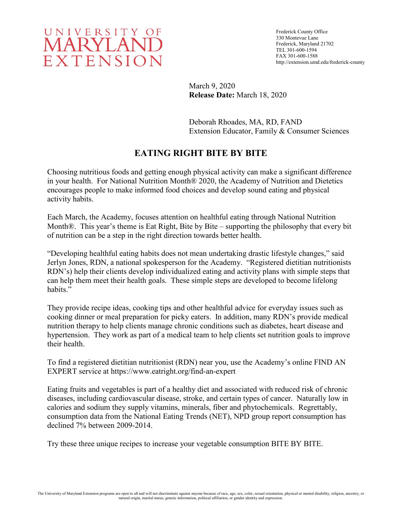

Frederick County Office 330 Montevue Lane Frederick, Maryland 21702 TEL 301-600-1594 FAX 301-600-1588 http://extension.umd.edu/frederick-county

March 9, 2020 **Release Date:** March 18, 2020

Deborah Rhoades, MA, RD, FAND Extension Educator, Family & Consumer Sciences

## **EATING RIGHT BITE BY BITE**

Choosing nutritious foods and getting enough physical activity can make a significant difference in your health. For National Nutrition Month® 2020, the Academy of Nutrition and Dietetics encourages people to make informed food choices and develop sound eating and physical activity habits.

Each March, the Academy, focuses attention on healthful eating through National Nutrition Month®. This year's theme is Eat Right, Bite by Bite – supporting the philosophy that every bit of nutrition can be a step in the right direction towards better health.

"Developing healthful eating habits does not mean undertaking drastic lifestyle changes," said Jerlyn Jones, RDN, a national spokesperson for the Academy. "Registered dietitian nutritionists RDN's) help their clients develop individualized eating and activity plans with simple steps that can help them meet their health goals. These simple steps are developed to become lifelong habits."

They provide recipe ideas, cooking tips and other healthful advice for everyday issues such as cooking dinner or meal preparation for picky eaters. In addition, many RDN's provide medical nutrition therapy to help clients manage chronic conditions such as diabetes, heart disease and hypertension. They work as part of a medical team to help clients set nutrition goals to improve their health.

To find a registered dietitian nutritionist (RDN) near you, use the Academy's online FIND AN EXPERT service at https://www.eatright.org/find-an-expert

Eating fruits and vegetables is part of a healthy diet and associated with reduced risk of chronic diseases, including cardiovascular disease, stroke, and certain types of cancer. Naturally low in calories and sodium they supply vitamins, minerals, fiber and phytochemicals. Regrettably, consumption data from the National Eating Trends (NET), NPD group report consumption has declined 7% between 2009-2014.

Try these three unique recipes to increase your vegetable consumption BITE BY BITE.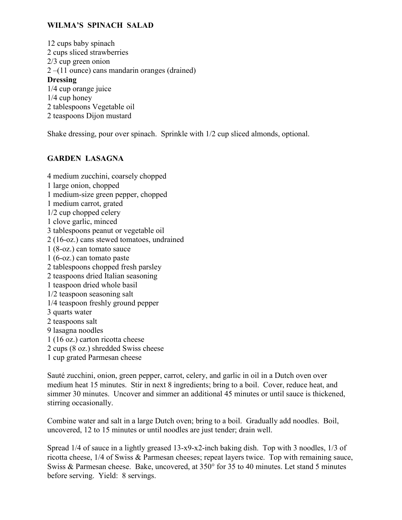## **WILMA'S SPINACH SALAD**

12 cups baby spinach 2 cups sliced strawberries 2/3 cup green onion 2 –(11 ounce) cans mandarin oranges (drained) **Dressing** 1/4 cup orange juice 1/4 cup honey 2 tablespoons Vegetable oil 2 teaspoons Dijon mustard

Shake dressing, pour over spinach. Sprinkle with 1/2 cup sliced almonds, optional.

## **GARDEN LASAGNA**

4 medium zucchini, coarsely chopped 1 large onion, chopped 1 medium-size green pepper, chopped 1 medium carrot, grated 1/2 cup chopped celery 1 clove garlic, minced 3 tablespoons peanut or vegetable oil 2 (16-oz.) cans stewed tomatoes, undrained 1 (8-oz.) can tomato sauce 1 (6-oz.) can tomato paste 2 tablespoons chopped fresh parsley 2 teaspoons dried Italian seasoning 1 teaspoon dried whole basil 1/2 teaspoon seasoning salt 1/4 teaspoon freshly ground pepper 3 quarts water 2 teaspoons salt 9 lasagna noodles 1 (16 oz.) carton ricotta cheese 2 cups (8 oz.) shredded Swiss cheese 1 cup grated Parmesan cheese

Sauté zucchini, onion, green pepper, carrot, celery, and garlic in oil in a Dutch oven over medium heat 15 minutes. Stir in next 8 ingredients; bring to a boil. Cover, reduce heat, and simmer 30 minutes. Uncover and simmer an additional 45 minutes or until sauce is thickened, stirring occasionally.

Combine water and salt in a large Dutch oven; bring to a boil. Gradually add noodles. Boil, uncovered, 12 to 15 minutes or until noodles are just tender; drain well.

Spread 1/4 of sauce in a lightly greased 13-x9-x2-inch baking dish. Top with 3 noodles, 1/3 of ricotta cheese, 1/4 of Swiss & Parmesan cheeses; repeat layers twice. Top with remaining sauce, Swiss & Parmesan cheese. Bake, uncovered, at 350° for 35 to 40 minutes. Let stand 5 minutes before serving. Yield: 8 servings.